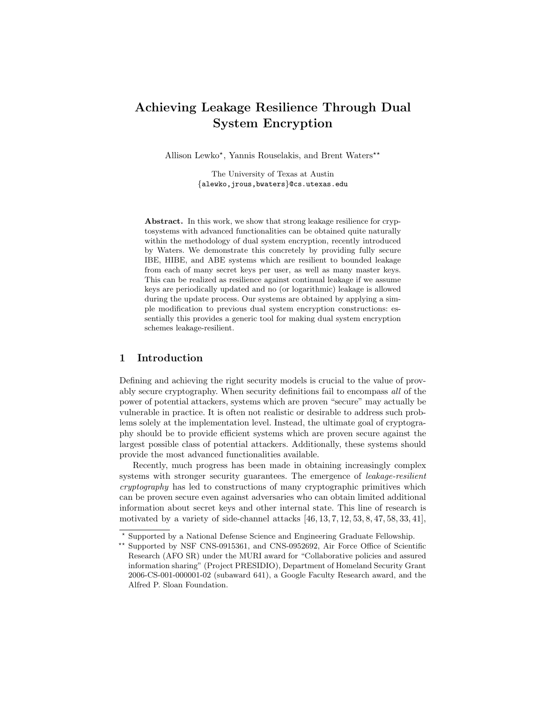# Achieving Leakage Resilience Through Dual System Encryption

Allison Lewko\*, Yannis Rouselakis, and Brent Waters\*\*

The University of Texas at Austin {alewko,jrous,bwaters}@cs.utexas.edu

Abstract. In this work, we show that strong leakage resilience for cryptosystems with advanced functionalities can be obtained quite naturally within the methodology of dual system encryption, recently introduced by Waters. We demonstrate this concretely by providing fully secure IBE, HIBE, and ABE systems which are resilient to bounded leakage from each of many secret keys per user, as well as many master keys. This can be realized as resilience against continual leakage if we assume keys are periodically updated and no (or logarithmic) leakage is allowed during the update process. Our systems are obtained by applying a simple modification to previous dual system encryption constructions: essentially this provides a generic tool for making dual system encryption schemes leakage-resilient.

# 1 Introduction

Defining and achieving the right security models is crucial to the value of provably secure cryptography. When security definitions fail to encompass all of the power of potential attackers, systems which are proven "secure" may actually be vulnerable in practice. It is often not realistic or desirable to address such problems solely at the implementation level. Instead, the ultimate goal of cryptography should be to provide efficient systems which are proven secure against the largest possible class of potential attackers. Additionally, these systems should provide the most advanced functionalities available.

Recently, much progress has been made in obtaining increasingly complex systems with stronger security guarantees. The emergence of *leakage-resilient* cryptography has led to constructions of many cryptographic primitives which can be proven secure even against adversaries who can obtain limited additional information about secret keys and other internal state. This line of research is motivated by a variety of side-channel attacks [46, 13, 7, 12, 53, 8, 47, 58, 33, 41],

<sup>?</sup> Supported by a National Defense Science and Engineering Graduate Fellowship.

<sup>\*\*</sup> Supported by NSF CNS-0915361, and CNS-0952692, Air Force Office of Scientific Research (AFO SR) under the MURI award for "Collaborative policies and assured information sharing" (Project PRESIDIO), Department of Homeland Security Grant 2006-CS-001-000001-02 (subaward 641), a Google Faculty Research award, and the Alfred P. Sloan Foundation.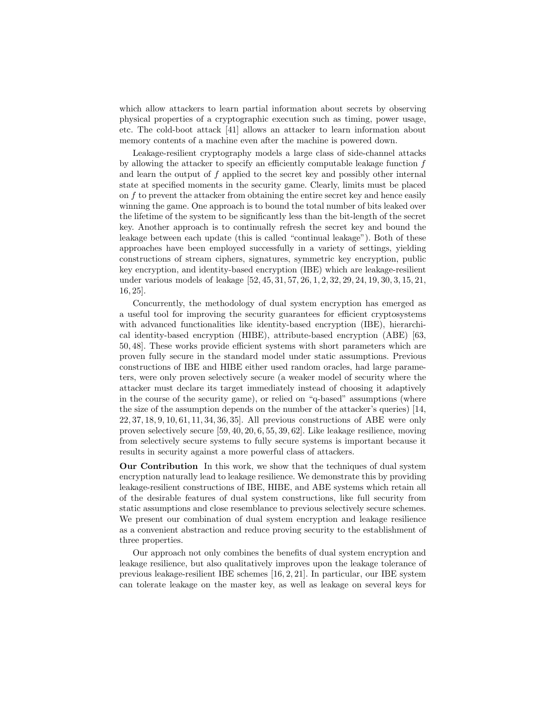which allow attackers to learn partial information about secrets by observing physical properties of a cryptographic execution such as timing, power usage, etc. The cold-boot attack [41] allows an attacker to learn information about memory contents of a machine even after the machine is powered down.

Leakage-resilient cryptography models a large class of side-channel attacks by allowing the attacker to specify an efficiently computable leakage function f and learn the output of  $f$  applied to the secret key and possibly other internal state at specified moments in the security game. Clearly, limits must be placed on  $f$  to prevent the attacker from obtaining the entire secret key and hence easily winning the game. One approach is to bound the total number of bits leaked over the lifetime of the system to be significantly less than the bit-length of the secret key. Another approach is to continually refresh the secret key and bound the leakage between each update (this is called "continual leakage"). Both of these approaches have been employed successfully in a variety of settings, yielding constructions of stream ciphers, signatures, symmetric key encryption, public key encryption, and identity-based encryption (IBE) which are leakage-resilient under various models of leakage [52, 45, 31, 57, 26, 1, 2, 32, 29, 24, 19, 30, 3, 15, 21, 16, 25].

Concurrently, the methodology of dual system encryption has emerged as a useful tool for improving the security guarantees for efficient cryptosystems with advanced functionalities like identity-based encryption (IBE), hierarchical identity-based encryption (HIBE), attribute-based encryption (ABE) [63, 50, 48]. These works provide efficient systems with short parameters which are proven fully secure in the standard model under static assumptions. Previous constructions of IBE and HIBE either used random oracles, had large parameters, were only proven selectively secure (a weaker model of security where the attacker must declare its target immediately instead of choosing it adaptively in the course of the security game), or relied on "q-based" assumptions (where the size of the assumption depends on the number of the attacker's queries) [14, 22, 37, 18, 9, 10, 61, 11, 34, 36, 35]. All previous constructions of ABE were only proven selectively secure [59, 40, 20, 6, 55, 39, 62]. Like leakage resilience, moving from selectively secure systems to fully secure systems is important because it results in security against a more powerful class of attackers.

Our Contribution In this work, we show that the techniques of dual system encryption naturally lead to leakage resilience. We demonstrate this by providing leakage-resilient constructions of IBE, HIBE, and ABE systems which retain all of the desirable features of dual system constructions, like full security from static assumptions and close resemblance to previous selectively secure schemes. We present our combination of dual system encryption and leakage resilience as a convenient abstraction and reduce proving security to the establishment of three properties.

Our approach not only combines the benefits of dual system encryption and leakage resilience, but also qualitatively improves upon the leakage tolerance of previous leakage-resilient IBE schemes [16, 2, 21]. In particular, our IBE system can tolerate leakage on the master key, as well as leakage on several keys for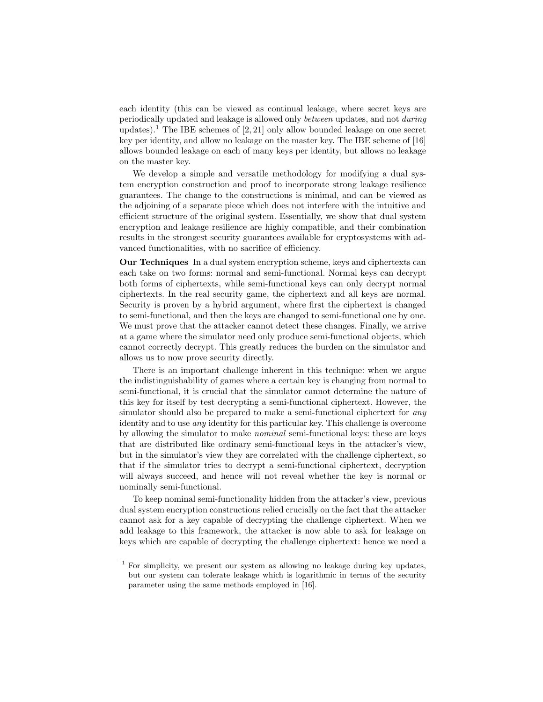each identity (this can be viewed as continual leakage, where secret keys are periodically updated and leakage is allowed only between updates, and not during updates).<sup>1</sup> The IBE schemes of  $[2, 21]$  only allow bounded leakage on one secret key per identity, and allow no leakage on the master key. The IBE scheme of [16] allows bounded leakage on each of many keys per identity, but allows no leakage on the master key.

We develop a simple and versatile methodology for modifying a dual system encryption construction and proof to incorporate strong leakage resilience guarantees. The change to the constructions is minimal, and can be viewed as the adjoining of a separate piece which does not interfere with the intuitive and efficient structure of the original system. Essentially, we show that dual system encryption and leakage resilience are highly compatible, and their combination results in the strongest security guarantees available for cryptosystems with advanced functionalities, with no sacrifice of efficiency.

Our Techniques In a dual system encryption scheme, keys and ciphertexts can each take on two forms: normal and semi-functional. Normal keys can decrypt both forms of ciphertexts, while semi-functional keys can only decrypt normal ciphertexts. In the real security game, the ciphertext and all keys are normal. Security is proven by a hybrid argument, where first the ciphertext is changed to semi-functional, and then the keys are changed to semi-functional one by one. We must prove that the attacker cannot detect these changes. Finally, we arrive at a game where the simulator need only produce semi-functional objects, which cannot correctly decrypt. This greatly reduces the burden on the simulator and allows us to now prove security directly.

There is an important challenge inherent in this technique: when we argue the indistinguishability of games where a certain key is changing from normal to semi-functional, it is crucial that the simulator cannot determine the nature of this key for itself by test decrypting a semi-functional ciphertext. However, the simulator should also be prepared to make a semi-functional ciphertext for *any* identity and to use any identity for this particular key. This challenge is overcome by allowing the simulator to make nominal semi-functional keys: these are keys that are distributed like ordinary semi-functional keys in the attacker's view, but in the simulator's view they are correlated with the challenge ciphertext, so that if the simulator tries to decrypt a semi-functional ciphertext, decryption will always succeed, and hence will not reveal whether the key is normal or nominally semi-functional.

To keep nominal semi-functionality hidden from the attacker's view, previous dual system encryption constructions relied crucially on the fact that the attacker cannot ask for a key capable of decrypting the challenge ciphertext. When we add leakage to this framework, the attacker is now able to ask for leakage on keys which are capable of decrypting the challenge ciphertext: hence we need a

<sup>&</sup>lt;sup>1</sup> For simplicity, we present our system as allowing no leakage during key updates, but our system can tolerate leakage which is logarithmic in terms of the security parameter using the same methods employed in [16].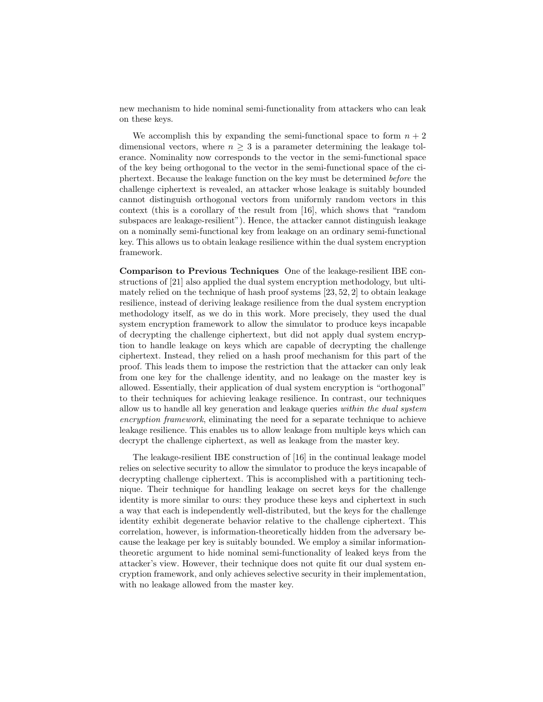new mechanism to hide nominal semi-functionality from attackers who can leak on these keys.

We accomplish this by expanding the semi-functional space to form  $n + 2$ dimensional vectors, where  $n \geq 3$  is a parameter determining the leakage tolerance. Nominality now corresponds to the vector in the semi-functional space of the key being orthogonal to the vector in the semi-functional space of the ciphertext. Because the leakage function on the key must be determined before the challenge ciphertext is revealed, an attacker whose leakage is suitably bounded cannot distinguish orthogonal vectors from uniformly random vectors in this context (this is a corollary of the result from [16], which shows that "random subspaces are leakage-resilient"). Hence, the attacker cannot distinguish leakage on a nominally semi-functional key from leakage on an ordinary semi-functional key. This allows us to obtain leakage resilience within the dual system encryption framework.

Comparison to Previous Techniques One of the leakage-resilient IBE constructions of [21] also applied the dual system encryption methodology, but ultimately relied on the technique of hash proof systems [23, 52, 2] to obtain leakage resilience, instead of deriving leakage resilience from the dual system encryption methodology itself, as we do in this work. More precisely, they used the dual system encryption framework to allow the simulator to produce keys incapable of decrypting the challenge ciphertext, but did not apply dual system encryption to handle leakage on keys which are capable of decrypting the challenge ciphertext. Instead, they relied on a hash proof mechanism for this part of the proof. This leads them to impose the restriction that the attacker can only leak from one key for the challenge identity, and no leakage on the master key is allowed. Essentially, their application of dual system encryption is "orthogonal" to their techniques for achieving leakage resilience. In contrast, our techniques allow us to handle all key generation and leakage queries within the dual system encryption framework, eliminating the need for a separate technique to achieve leakage resilience. This enables us to allow leakage from multiple keys which can decrypt the challenge ciphertext, as well as leakage from the master key.

The leakage-resilient IBE construction of [16] in the continual leakage model relies on selective security to allow the simulator to produce the keys incapable of decrypting challenge ciphertext. This is accomplished with a partitioning technique. Their technique for handling leakage on secret keys for the challenge identity is more similar to ours: they produce these keys and ciphertext in such a way that each is independently well-distributed, but the keys for the challenge identity exhibit degenerate behavior relative to the challenge ciphertext. This correlation, however, is information-theoretically hidden from the adversary because the leakage per key is suitably bounded. We employ a similar informationtheoretic argument to hide nominal semi-functionality of leaked keys from the attacker's view. However, their technique does not quite fit our dual system encryption framework, and only achieves selective security in their implementation, with no leakage allowed from the master key.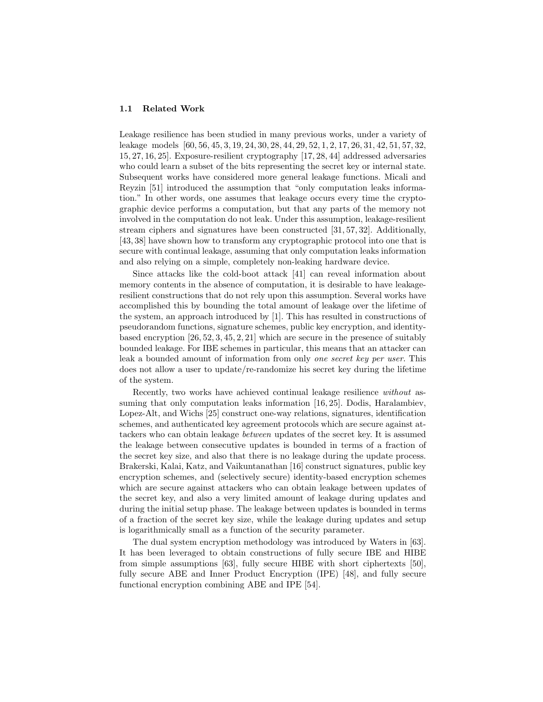#### 1.1 Related Work

Leakage resilience has been studied in many previous works, under a variety of leakage models [60, 56, 45, 3, 19, 24, 30, 28, 44, 29, 52, 1, 2, 17, 26, 31, 42, 51, 57, 32, 15, 27, 16, 25]. Exposure-resilient cryptography [17, 28, 44] addressed adversaries who could learn a subset of the bits representing the secret key or internal state. Subsequent works have considered more general leakage functions. Micali and Reyzin [51] introduced the assumption that "only computation leaks information." In other words, one assumes that leakage occurs every time the cryptographic device performs a computation, but that any parts of the memory not involved in the computation do not leak. Under this assumption, leakage-resilient stream ciphers and signatures have been constructed [31, 57, 32]. Additionally, [43, 38] have shown how to transform any cryptographic protocol into one that is secure with continual leakage, assuming that only computation leaks information and also relying on a simple, completely non-leaking hardware device.

Since attacks like the cold-boot attack [41] can reveal information about memory contents in the absence of computation, it is desirable to have leakageresilient constructions that do not rely upon this assumption. Several works have accomplished this by bounding the total amount of leakage over the lifetime of the system, an approach introduced by [1]. This has resulted in constructions of pseudorandom functions, signature schemes, public key encryption, and identitybased encryption [26, 52, 3, 45, 2, 21] which are secure in the presence of suitably bounded leakage. For IBE schemes in particular, this means that an attacker can leak a bounded amount of information from only one secret key per user. This does not allow a user to update/re-randomize his secret key during the lifetime of the system.

Recently, two works have achieved continual leakage resilience without assuming that only computation leaks information [16, 25]. Dodis, Haralambiev, Lopez-Alt, and Wichs [25] construct one-way relations, signatures, identification schemes, and authenticated key agreement protocols which are secure against attackers who can obtain leakage between updates of the secret key. It is assumed the leakage between consecutive updates is bounded in terms of a fraction of the secret key size, and also that there is no leakage during the update process. Brakerski, Kalai, Katz, and Vaikuntanathan [16] construct signatures, public key encryption schemes, and (selectively secure) identity-based encryption schemes which are secure against attackers who can obtain leakage between updates of the secret key, and also a very limited amount of leakage during updates and during the initial setup phase. The leakage between updates is bounded in terms of a fraction of the secret key size, while the leakage during updates and setup is logarithmically small as a function of the security parameter.

The dual system encryption methodology was introduced by Waters in [63]. It has been leveraged to obtain constructions of fully secure IBE and HIBE from simple assumptions [63], fully secure HIBE with short ciphertexts [50], fully secure ABE and Inner Product Encryption (IPE) [48], and fully secure functional encryption combining ABE and IPE [54].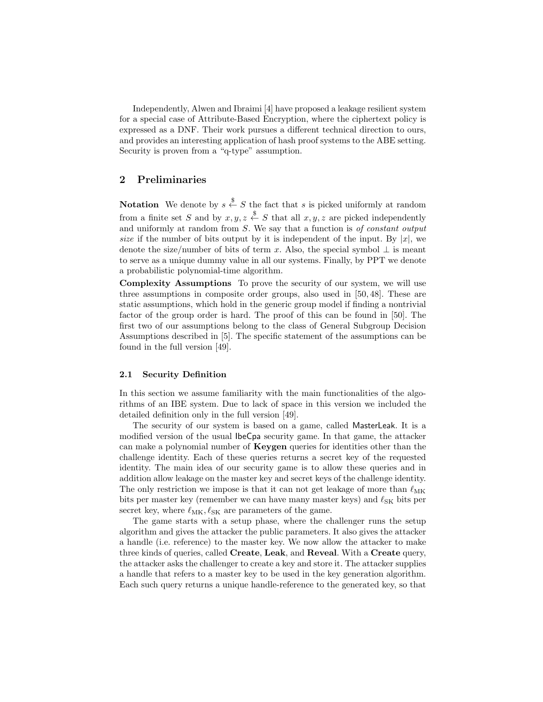Independently, Alwen and Ibraimi [4] have proposed a leakage resilient system for a special case of Attribute-Based Encryption, where the ciphertext policy is expressed as a DNF. Their work pursues a different technical direction to ours, and provides an interesting application of hash proof systems to the ABE setting. Security is proven from a "q-type" assumption.

# 2 Preliminaries

**Notation** We denote by  $s \stackrel{\$}{\leftarrow} S$  the fact that s is picked uniformly at random from a finite set S and by  $x, y, z \stackrel{\$}{\leftarrow} S$  that all  $x, y, z$  are picked independently and uniformly at random from S. We say that a function is of constant output size if the number of bits output by it is independent of the input. By  $|x|$ , we denote the size/number of bits of term x. Also, the special symbol  $\perp$  is meant to serve as a unique dummy value in all our systems. Finally, by PPT we denote a probabilistic polynomial-time algorithm.

Complexity Assumptions To prove the security of our system, we will use three assumptions in composite order groups, also used in [50, 48]. These are static assumptions, which hold in the generic group model if finding a nontrivial factor of the group order is hard. The proof of this can be found in [50]. The first two of our assumptions belong to the class of General Subgroup Decision Assumptions described in [5]. The specific statement of the assumptions can be found in the full version [49].

#### 2.1 Security Definition

In this section we assume familiarity with the main functionalities of the algorithms of an IBE system. Due to lack of space in this version we included the detailed definition only in the full version [49].

The security of our system is based on a game, called MasterLeak. It is a modified version of the usual IbeCpa security game. In that game, the attacker can make a polynomial number of Keygen queries for identities other than the challenge identity. Each of these queries returns a secret key of the requested identity. The main idea of our security game is to allow these queries and in addition allow leakage on the master key and secret keys of the challenge identity. The only restriction we impose is that it can not get leakage of more than  $\ell_{MK}$ bits per master key (remember we can have many master keys) and  $\ell_{\rm SK}$  bits per secret key, where  $\ell_{MK}, \ell_{SK}$  are parameters of the game.

The game starts with a setup phase, where the challenger runs the setup algorithm and gives the attacker the public parameters. It also gives the attacker a handle (i.e. reference) to the master key. We now allow the attacker to make three kinds of queries, called Create, Leak, and Reveal. With a Create query, the attacker asks the challenger to create a key and store it. The attacker supplies a handle that refers to a master key to be used in the key generation algorithm. Each such query returns a unique handle-reference to the generated key, so that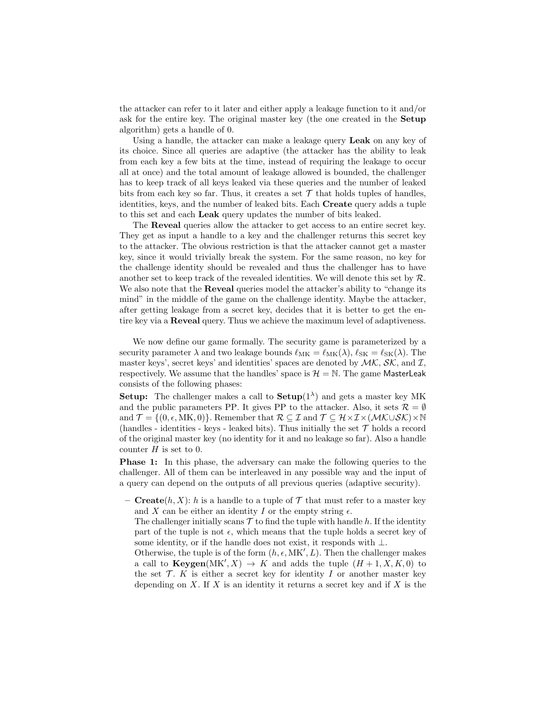the attacker can refer to it later and either apply a leakage function to it and/or ask for the entire key. The original master key (the one created in the Setup algorithm) gets a handle of 0.

Using a handle, the attacker can make a leakage query Leak on any key of its choice. Since all queries are adaptive (the attacker has the ability to leak from each key a few bits at the time, instead of requiring the leakage to occur all at once) and the total amount of leakage allowed is bounded, the challenger has to keep track of all keys leaked via these queries and the number of leaked bits from each key so far. Thus, it creates a set  $\mathcal T$  that holds tuples of handles, identities, keys, and the number of leaked bits. Each Create query adds a tuple to this set and each Leak query updates the number of bits leaked.

The Reveal queries allow the attacker to get access to an entire secret key. They get as input a handle to a key and the challenger returns this secret key to the attacker. The obvious restriction is that the attacker cannot get a master key, since it would trivially break the system. For the same reason, no key for the challenge identity should be revealed and thus the challenger has to have another set to keep track of the revealed identities. We will denote this set by  $\mathcal{R}$ . We also note that the **Reveal** queries model the attacker's ability to "change its" mind" in the middle of the game on the challenge identity. Maybe the attacker, after getting leakage from a secret key, decides that it is better to get the entire key via a Reveal query. Thus we achieve the maximum level of adaptiveness.

We now define our game formally. The security game is parameterized by a security parameter  $\lambda$  and two leakage bounds  $\ell_{MK} = \ell_{MK}(\lambda)$ ,  $\ell_{SK} = \ell_{SK}(\lambda)$ . The master keys', secret keys' and identities' spaces are denoted by  $MK$ ,  $SK$ , and  $I$ , respectively. We assume that the handles' space is  $\mathcal{H} = \mathbb{N}$ . The game MasterLeak consists of the following phases:

**Setup:** The challenger makes a call to  $\textbf{Setup}(1^{\lambda})$  and gets a master key MK and the public parameters PP. It gives PP to the attacker. Also, it sets  $\mathcal{R} = \emptyset$ and  $\mathcal{T} = \{(0, \epsilon, MK, 0)\}\)$ . Remember that  $\mathcal{R} \subseteq \mathcal{I}$  and  $\mathcal{T} \subseteq \mathcal{H} \times \mathcal{I} \times (\mathcal{MKUSK}) \times \mathbb{N}$ (handles - identities - keys - leaked bits). Thus initially the set  $\mathcal T$  holds a record of the original master key (no identity for it and no leakage so far). Also a handle counter  $H$  is set to 0.

**Phase 1:** In this phase, the adversary can make the following queries to the challenger. All of them can be interleaved in any possible way and the input of a query can depend on the outputs of all previous queries (adaptive security).

– Create(h, X): h is a handle to a tuple of T that must refer to a master key and X can be either an identity I or the empty string  $\epsilon$ .

The challenger initially scans  $\mathcal T$  to find the tuple with handle h. If the identity part of the tuple is not  $\epsilon$ , which means that the tuple holds a secret key of some identity, or if the handle does not exist, it responds with  $\perp$ .

Otherwise, the tuple is of the form  $(h, \epsilon, MK', L)$ . Then the challenger makes a call to **Keygen**(MK', X)  $\rightarrow$  K and adds the tuple  $(H + 1, X, K, 0)$  to the set  $\mathcal T$ . K is either a secret key for identity I or another master key depending on  $X$ . If  $X$  is an identity it returns a secret key and if  $X$  is the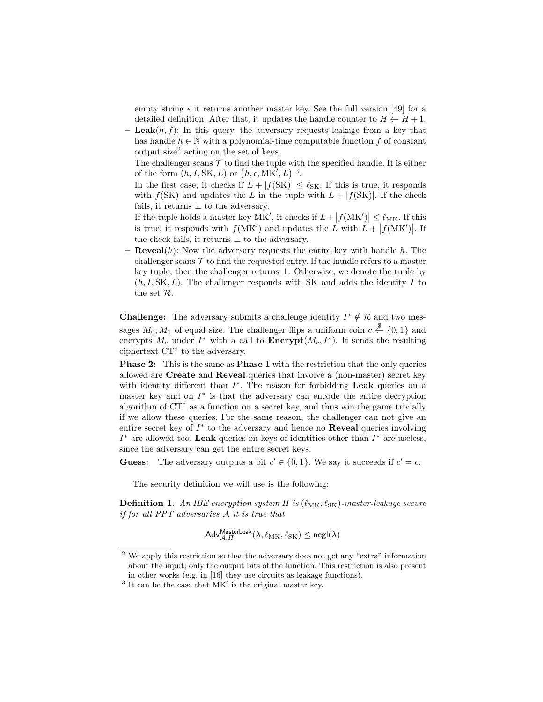empty string  $\epsilon$  it returns another master key. See the full version [49] for a detailed definition. After that, it updates the handle counter to  $H \leftarrow H + 1$ .

**Leak** $(h, f)$ : In this query, the adversary requests leakage from a key that has handle  $h \in \mathbb{N}$  with a polynomial-time computable function f of constant output size<sup>2</sup> acting on the set of keys.

The challenger scans  $\mathcal T$  to find the tuple with the specified handle. It is either of the form  $(h, I, SK, L)$  or  $(h, \epsilon, MK', L)$  <sup>3</sup>.

In the first case, it checks if  $L + |f(SK)| \leq \ell_{SK}$ . If this is true, it responds with  $f(SK)$  and updates the L in the tuple with  $L + |f(SK)|$ . If the check fails, it returns  $\perp$  to the adversary.

If the tuple holds a master key MK', it checks if  $L + |f(MK')| \leq \ell_{MK}$ . If this is true, it responds with  $f(MK')$  and updates the L with  $L + |f(MK')|$ . If the check fails, it returns  $\perp$  to the adversary.

 $-$  **Reveal**(h): Now the adversary requests the entire key with handle h. The challenger scans  $\mathcal T$  to find the requested entry. If the handle refers to a master key tuple, then the challenger returns  $\perp$ . Otherwise, we denote the tuple by  $(h, I, SK, L)$ . The challenger responds with SK and adds the identity I to the set R.

**Challenge:** The adversary submits a challenge identity  $I^* \notin \mathcal{R}$  and two messages  $M_0, M_1$  of equal size. The challenger flips a uniform coin  $c \stackrel{\$}{\leftarrow} \{0,1\}$  and encrypts  $M_c$  under  $I^*$  with a call to  $\mathbf{Encrypt}(M_c, I^*)$ . It sends the resulting ciphertext CT<sup>∗</sup> to the adversary.

**Phase 2:** This is the same as **Phase 1** with the restriction that the only queries allowed are Create and Reveal queries that involve a (non-master) secret key with identity different than  $I^*$ . The reason for forbidding Leak queries on a master key and on  $I^*$  is that the adversary can encode the entire decryption algorithm of CT<sup>∗</sup> as a function on a secret key, and thus win the game trivially if we allow these queries. For the same reason, the challenger can not give an entire secret key of  $I^*$  to the adversary and hence no **Reveal** queries involving  $I^*$  are allowed too. Leak queries on keys of identities other than  $I^*$  are useless, since the adversary can get the entire secret keys.

**Guess:** The adversary outputs a bit  $c' \in \{0, 1\}$ . We say it succeeds if  $c' = c$ .

The security definition we will use is the following:

**Definition 1.** An IBE encryption system  $\Pi$  is  $(\ell_{MK}, \ell_{SK})$ -master-leakage secure if for all PPT adversaries A it is true that

$$
\mathsf{Adv}_{\mathcal{A},\varPi}^{\mathsf{MasterLeak}}(\lambda,\ell_{\text{MK}},\ell_{\text{SK}}) \leq \mathsf{negl}(\lambda)
$$

<sup>&</sup>lt;sup>2</sup> We apply this restriction so that the adversary does not get any "extra" information about the input; only the output bits of the function. This restriction is also present in other works (e.g. in [16] they use circuits as leakage functions).

 $3$  It can be the case that MK' is the original master key.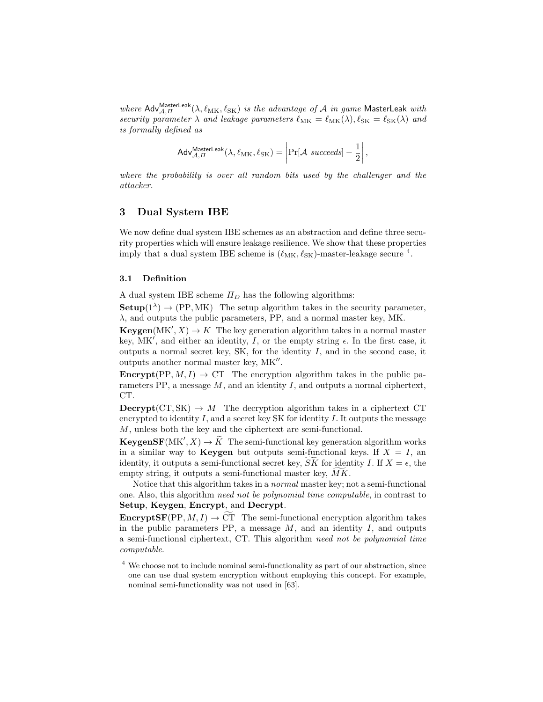where  $\textsf{Adv}_{\mathcal{A},\Pi}^{\textsf{MasterLeak}}(\lambda,\ell_{\text{MK}},\ell_{\text{SK}})$  is the advantage of  $\mathcal A$  in game MasterLeak with security parameter  $\lambda$  and leakage parameters  $\ell_{MK} = \ell_{MK}(\lambda), \ell_{SK} = \ell_{SK}(\lambda)$  and is formally defined as

$$
\mathsf{Adv}_{\mathcal{A},\varPi}^{\mathsf{MasterLeak}}(\lambda,\ell_{\text{MK}},\ell_{\text{SK}}) = \left|\Pr[\mathcal{A} \textrm{ succeeds}] - \frac{1}{2}\right|,
$$

where the probability is over all random bits used by the challenger and the attacker.

# 3 Dual System IBE

We now define dual system IBE schemes as an abstraction and define three security properties which will ensure leakage resilience. We show that these properties imply that a dual system IBE scheme is  $(\ell_{MK}, \ell_{SK})$ -master-leakage secure <sup>4</sup>.

#### 3.1 Definition

A dual system IBE scheme  $\Pi_D$  has the following algorithms:

**Setup**( $1^{\lambda}$ )  $\rightarrow$  (PP, MK) The setup algorithm takes in the security parameter,  $\lambda$ , and outputs the public parameters, PP, and a normal master key, MK.

**Keygen**(MK', X)  $\rightarrow$  K The key generation algorithm takes in a normal master key, MK', and either an identity, I, or the empty string  $\epsilon$ . In the first case, it outputs a normal secret key, SK, for the identity  $I$ , and in the second case, it outputs another normal master key,  $MK''$ .

**Encrypt**(PP,  $M, I$ )  $\rightarrow$  CT The encryption algorithm takes in the public parameters PP, a message  $M$ , and an identity  $I$ , and outputs a normal ciphertext, CT.

**Decrypt**(CT, SK)  $\rightarrow$  M The decryption algorithm takes in a ciphertext CT encrypted to identity I, and a secret key SK for identity I. It outputs the message M, unless both the key and the ciphertext are semi-functional.

**KeygenSF**(MK', X)  $\rightarrow \widetilde{K}$  The semi-functional key generation algorithm works in a similar way to **Keygen** but outputs semi-functional keys. If  $X = I$ , an identity, it outputs a semi-functional secret key, SK for identity I. If  $X = \epsilon$ , the empty string, it outputs a semi-functional master key,  $MK$ .

Notice that this algorithm takes in a normal master key; not a semi-functional one. Also, this algorithm need not be polynomial time computable, in contrast to Setup, Keygen, Encrypt, and Decrypt.

**EncryptSF**(PP,  $M, I$ )  $\rightarrow$  CT The semi-functional encryption algorithm takes in the public parameters PP, a message  $M$ , and an identity  $I$ , and outputs a semi-functional ciphertext, CT. This algorithm need not be polynomial time computable.

 $^4\,$  We choose not to include nominal semi-functionality as part of our abstraction, since one can use dual system encryption without employing this concept. For example, nominal semi-functionality was not used in [63].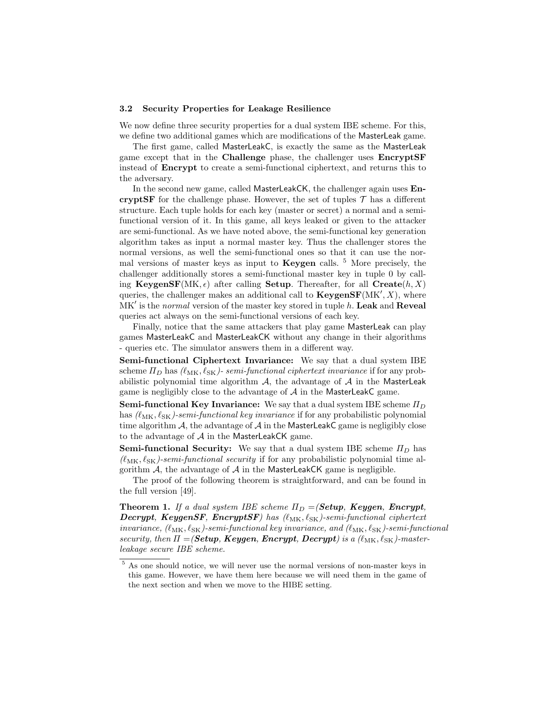#### 3.2 Security Properties for Leakage Resilience

We now define three security properties for a dual system IBE scheme. For this, we define two additional games which are modifications of the MasterLeak game.

The first game, called MasterLeakC, is exactly the same as the MasterLeak game except that in the Challenge phase, the challenger uses EncryptSF instead of Encrypt to create a semi-functional ciphertext, and returns this to the adversary.

In the second new game, called MasterLeakCK, the challenger again uses **En**cryptSF for the challenge phase. However, the set of tuples  $\mathcal T$  has a different structure. Each tuple holds for each key (master or secret) a normal and a semifunctional version of it. In this game, all keys leaked or given to the attacker are semi-functional. As we have noted above, the semi-functional key generation algorithm takes as input a normal master key. Thus the challenger stores the normal versions, as well the semi-functional ones so that it can use the normal versions of master keys as input to Keygen calls. <sup>5</sup> More precisely, the challenger additionally stores a semi-functional master key in tuple 0 by calling KeygenSF(MK,  $\epsilon$ ) after calling Setup. Thereafter, for all Create(h, X) queries, the challenger makes an additional call to  $\mathbf{KeygenSF}(MK', X)$ , where  $MK'$  is the normal version of the master key stored in tuple h. Leak and Reveal queries act always on the semi-functional versions of each key.

Finally, notice that the same attackers that play game MasterLeak can play games MasterLeakC and MasterLeakCK without any change in their algorithms - queries etc. The simulator answers them in a different way.

Semi-functional Ciphertext Invariance: We say that a dual system IBE scheme  $\Pi_D$  has  $(\ell_{MK}, \ell_{SK})$ - semi-functional ciphertext invariance if for any probabilistic polynomial time algorithm  $A$ , the advantage of  $A$  in the MasterLeak game is negligibly close to the advantage of  $A$  in the MasterLeakC game.

Semi-functional Key Invariance: We say that a dual system IBE scheme  $\Pi_D$ has  $(\ell_{MK}, \ell_{SK})$ -semi-functional key invariance if for any probabilistic polynomial time algorithm  $\mathcal{A}$ , the advantage of  $\mathcal{A}$  in the MasterLeakC game is negligibly close to the advantage of  $A$  in the MasterLeakCK game.

**Semi-functional Security:** We say that a dual system IBE scheme  $\Pi_D$  has  $(\ell_{MK}, \ell_{SK})$ -semi-functional security if for any probabilistic polynomial time algorithm  $\mathcal{A}$ , the advantage of  $\mathcal{A}$  in the MasterLeakCK game is negligible.

The proof of the following theorem is straightforward, and can be found in the full version [49].

**Theorem 1.** If a dual system IBE scheme  $\Pi_D = (Setup, Keygen, Encryption,$ Decrypt, KeygenSF, EncryptSF) has  $(\ell_{MK}, \ell_{SK})$ -semi-functional ciphertext invariance,  $(\ell_{MK}, \ell_{SK})$ -semi-functional key invariance, and  $(\ell_{MK}, \ell_{SK})$ -semi-functional security, then  $\Pi = (Setup, Keygen, Encryption, Decrypt)$  is a  $(\ell_{MK}, \ell_{SK})$ -masterleakage secure IBE scheme.

<sup>5</sup> As one should notice, we will never use the normal versions of non-master keys in this game. However, we have them here because we will need them in the game of the next section and when we move to the HIBE setting.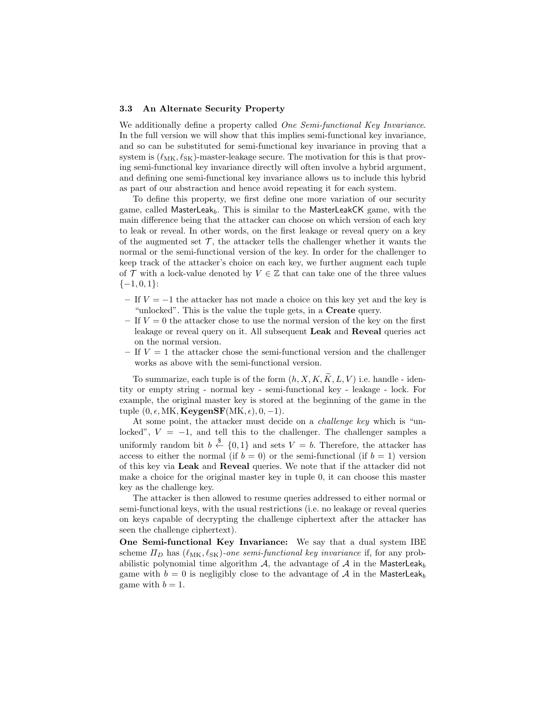#### 3.3 An Alternate Security Property

We additionally define a property called One Semi-functional Key Invariance. In the full version we will show that this implies semi-functional key invariance, and so can be substituted for semi-functional key invariance in proving that a system is  $(\ell_{MK}, \ell_{SK})$ -master-leakage secure. The motivation for this is that proving semi-functional key invariance directly will often involve a hybrid argument, and defining one semi-functional key invariance allows us to include this hybrid as part of our abstraction and hence avoid repeating it for each system.

To define this property, we first define one more variation of our security game, called MasterLeak $_b$ . This is similar to the MasterLeakCK game, with the main difference being that the attacker can choose on which version of each key to leak or reveal. In other words, on the first leakage or reveal query on a key of the augmented set  $\mathcal{T}$ , the attacker tells the challenger whether it wants the normal or the semi-functional version of the key. In order for the challenger to keep track of the attacker's choice on each key, we further augment each tuple of T with a lock-value denoted by  $V \in \mathbb{Z}$  that can take one of the three values  $\{-1, 0, 1\}$ :

- If  $V = -1$  the attacker has not made a choice on this key yet and the key is "unlocked". This is the value the tuple gets, in a Create query.
- If  $V = 0$  the attacker chose to use the normal version of the key on the first leakage or reveal query on it. All subsequent Leak and Reveal queries act on the normal version.
- If  $V = 1$  the attacker chose the semi-functional version and the challenger works as above with the semi-functional version.

To summarize, each tuple is of the form  $(h, X, K, \tilde{K}, L, V)$  i.e. handle - identity or empty string - normal key - semi-functional key - leakage - lock. For example, the original master key is stored at the beginning of the game in the tuple  $(0, \epsilon, MK, Keygen SF(MK, \epsilon), 0, -1)$ .

At some point, the attacker must decide on a challenge key which is "unlocked",  $V = -1$ , and tell this to the challenger. The challenger samples a uniformly random bit  $b \stackrel{\$}{\leftarrow} \{0,1\}$  and sets  $V = b$ . Therefore, the attacker has access to either the normal (if  $b = 0$ ) or the semi-functional (if  $b = 1$ ) version of this key via Leak and Reveal queries. We note that if the attacker did not make a choice for the original master key in tuple 0, it can choose this master key as the challenge key.

The attacker is then allowed to resume queries addressed to either normal or semi-functional keys, with the usual restrictions (i.e. no leakage or reveal queries on keys capable of decrypting the challenge ciphertext after the attacker has seen the challenge ciphertext).

One Semi-functional Key Invariance: We say that a dual system IBE scheme  $\Pi_D$  has  $(\ell_{MK}, \ell_{SK})$ -one semi-functional key invariance if, for any probabilistic polynomial time algorithm  $A$ , the advantage of  $A$  in the MasterLeak<sub>b</sub> game with  $b = 0$  is negligibly close to the advantage of A in the MasterLeak<sub>b</sub> game with  $b = 1$ .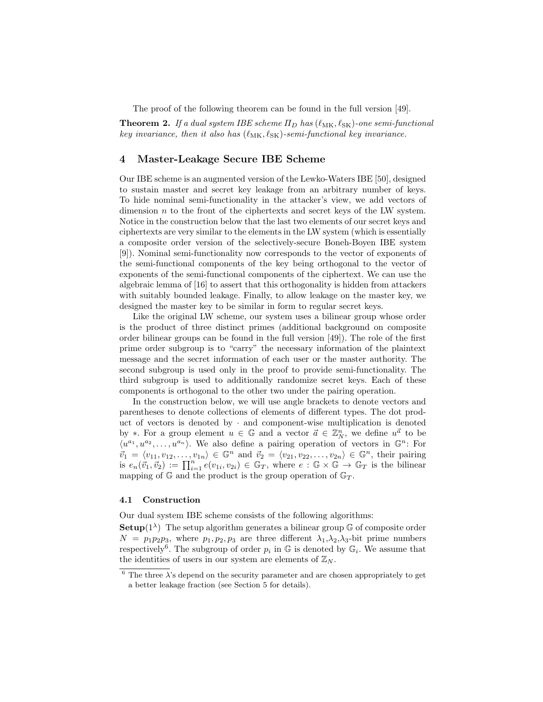The proof of the following theorem can be found in the full version [49].

**Theorem 2.** If a dual system IBE scheme  $\Pi_D$  has  $(\ell_{MK}, \ell_{SK})$ -one semi-functional key invariance, then it also has  $(\ell_{MK}, \ell_{SK})$ -semi-functional key invariance.

# 4 Master-Leakage Secure IBE Scheme

Our IBE scheme is an augmented version of the Lewko-Waters IBE [50], designed to sustain master and secret key leakage from an arbitrary number of keys. To hide nominal semi-functionality in the attacker's view, we add vectors of dimension  $n$  to the front of the ciphertexts and secret keys of the LW system. Notice in the construction below that the last two elements of our secret keys and ciphertexts are very similar to the elements in the LW system (which is essentially a composite order version of the selectively-secure Boneh-Boyen IBE system [9]). Nominal semi-functionality now corresponds to the vector of exponents of the semi-functional components of the key being orthogonal to the vector of exponents of the semi-functional components of the ciphertext. We can use the algebraic lemma of [16] to assert that this orthogonality is hidden from attackers with suitably bounded leakage. Finally, to allow leakage on the master key, we designed the master key to be similar in form to regular secret keys.

Like the original LW scheme, our system uses a bilinear group whose order is the product of three distinct primes (additional background on composite order bilinear groups can be found in the full version [49]). The role of the first prime order subgroup is to "carry" the necessary information of the plaintext message and the secret information of each user or the master authority. The second subgroup is used only in the proof to provide semi-functionality. The third subgroup is used to additionally randomize secret keys. Each of these components is orthogonal to the other two under the pairing operation.

In the construction below, we will use angle brackets to denote vectors and parentheses to denote collections of elements of different types. The dot product of vectors is denoted by  $\cdot$  and component-wise multiplication is denoted by ∗. For a group element  $u \in \mathbb{G}$  and a vector  $\vec{a} \in \mathbb{Z}_N^n$ , we define  $u^{\vec{a}}$  to be  $\langle u^{a_1}, u^{a_2}, \ldots, u^{a_n} \rangle$ . We also define a pairing operation of vectors in  $\mathbb{G}^n$ : For  $\vec{v}_1 = \langle v_{11}, v_{12}, \ldots, v_{1n} \rangle \in \mathbb{G}^n$  and  $\vec{v}_2 = \langle v_{21}, v_{22}, \ldots, v_{2n} \rangle \in \mathbb{G}^n$ , their pairing is  $e_n(\vec{v}_1, \vec{v}_2) := \prod_{i=1}^{n} e(v_{1i}, v_{2i}) \in \mathbb{G}_T$ , where  $e : \mathbb{G} \times \mathbb{G} \to \mathbb{G}_T$  is the bilinear mapping of  $\mathbb{G}$  and the product is the group operation of  $\mathbb{G}_T$ .

#### 4.1 Construction

Our dual system IBE scheme consists of the following algorithms:

**Setup**( $1^{\lambda}$ ) The setup algorithm generates a bilinear group G of composite order  $N = p_1p_2p_3$ , where  $p_1, p_2, p_3$  are three different  $\lambda_1, \lambda_2, \lambda_3$ -bit prime numbers respectively<sup>6</sup>. The subgroup of order  $p_i$  in  $\mathbb G$  is denoted by  $\mathbb G_i$ . We assume that the identities of users in our system are elements of  $\mathbb{Z}_N$ .

 $6$  The three  $\lambda$ 's depend on the security parameter and are chosen appropriately to get a better leakage fraction (see Section 5 for details).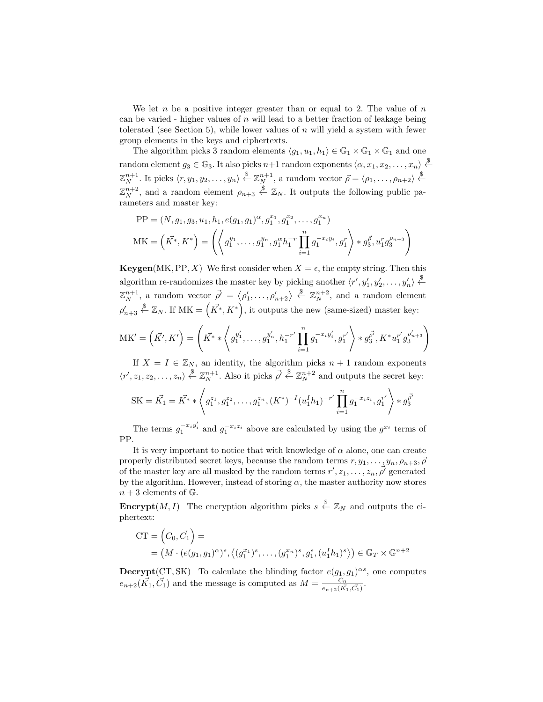We let n be a positive integer greater than or equal to 2. The value of  $n$ can be varied - higher values of  $n$  will lead to a better fraction of leakage being tolerated (see Section 5), while lower values of  $n$  will yield a system with fewer group elements in the keys and ciphertexts.

The algorithm picks 3 random elements  $\langle g_1, u_1, h_1 \rangle \in \mathbb{G}_1 \times \mathbb{G}_1 \times \mathbb{G}_1$  and one random element  $g_3 \in \mathbb{G}_3$ . It also picks  $n+1$  random exponents  $\langle \alpha, x_1, x_2, \ldots, x_n \rangle \stackrel{\$}{\leftarrow}$  $\mathbb{Z}_N^{n+1}$ . It picks  $\langle r, y_1, y_2, \ldots, y_n \rangle \stackrel{\$}{\leftarrow} \mathbb{Z}_N^{n+1}$ , a random vector  $\vec{\rho} = \langle \rho_1, \ldots, \rho_{n+2} \rangle \stackrel{\$}{\leftarrow}$  $\mathbb{Z}_N^{n+2}$ , and a random element  $\rho_{n+3} \stackrel{\$}{\leftarrow} \mathbb{Z}_N$ . It outputs the following public parameters and master key:

$$
PP = (N, g_1, g_3, u_1, h_1, e(g_1, g_1)^\alpha, g_1^{x_1}, g_1^{x_2}, \dots, g_1^{x_n})
$$
  

$$
MK = (\vec{K^*}, K^*) = \left( \left\langle g_1^{y_1}, \dots, g_1^{y_n}, g_1^\alpha h_1^{-r} \prod_{i=1}^n g_1^{-x_i y_i}, g_1^r \right\rangle * g_3^{\vec{g}}, u_1^r g_3^{p_{n+3}} \right)
$$

**Keygen**(MK, PP, X) We first consider when  $X = \epsilon$ , the empty string. Then this algorithm re-randomizes the master key by picking another  $\langle r', y'_1, y'_2, \ldots, y'_n \rangle \stackrel{\$}{\leftarrow}$  $\mathbb{Z}_N^{n+1}$ , a random vector  $\vec{\rho'} = \langle \rho'_1, \ldots, \rho'_{n+2} \rangle \stackrel{\$}{\leftarrow} \mathbb{Z}_N^{n+2}$ , and a random element  $\rho'_{n+3}$  $\stackrel{\$}{\leftarrow} \mathbb{Z}_N$ . If MK =  $(K^*, K^*)$ , it outputs the new (same-sized) master key:

MK' = 
$$
(\vec{K'},{K'}) = (\vec{K^*} * \langle g_1^{y_1'}, \dots, g_1^{y_n'}, h_1^{-r'} \prod_{i=1}^n g_1^{-x_i y_i'}, g_1^{r'} \rangle * g_3^{\vec{\rho'}}, K^* u_1^{r'} g_3^{\rho'_{n+3}})
$$

If  $X = I \in \mathbb{Z}_N$ , an identity, the algorithm picks  $n + 1$  random exponents  $\langle r', z_1, z_2, \ldots, z_n \rangle \stackrel{\$}{\leftarrow} \mathbb{Z}_N^{n+1}$ . Also it picks  $\vec{\rho'} \stackrel{\$}{\leftarrow} \mathbb{Z}_N^{n+2}$  and outputs the secret key:

SK = 
$$
\vec{K_1}
$$
 =  $\vec{K^*}$  \*  $\left\langle g_1^{z_1}, g_1^{z_2}, \dots, g_1^{z_n}, (K^*)^{-1} (u_1^I h_1)^{-r'} \prod_{i=1}^n g_1^{-x_i z_i}, g_1^{r'} \right\rangle$  \*  $g_3^{\vec{\rho'}}$ 

The terms  $g_1^{-x_i y'_i}$  and  $g_1^{-x_i z_i}$  above are calculated by using the  $g^{x_i}$  terms of PP.

It is very important to notice that with knowledge of  $\alpha$  alone, one can create properly distributed secret keys, because the random terms  $r, y_1, \ldots, y_n, \rho_{n+3}, \vec{\rho}$ of the master key are all masked by the random terms  $r', z_1, \ldots, z_n, \rho'$  generated by the algorithm. However, instead of storing  $\alpha$ , the master authority now stores  $n + 3$  elements of  $\mathbb{G}$ .

**Encrypt** $(M, I)$  The encryption algorithm picks  $s \stackrel{\$}{\leftarrow} \mathbb{Z}_N$  and outputs the ciphertext:

$$
CT = (C_0, \vec{C_1}) =
$$
  
=  $(M \cdot (e(g_1, g_1)^{\alpha})^s, \langle (g_1^{x_1})^s, \dots, (g_1^{x_n})^s, g_1^s, (u_1^I h_1)^s \rangle) \in \mathbb{G}_T \times \mathbb{G}^{n+2}$ 

**Decrypt**(CT, SK) To calculate the blinding factor  $e(g_1, g_1)^{\alpha s}$ , one computes  $e_{n+2}(\vec{K_1}, \vec{C_1})$  and the message is computed as  $M = \frac{C_0}{e_{n+2}(\vec{K_1}, \vec{C_1})}$ .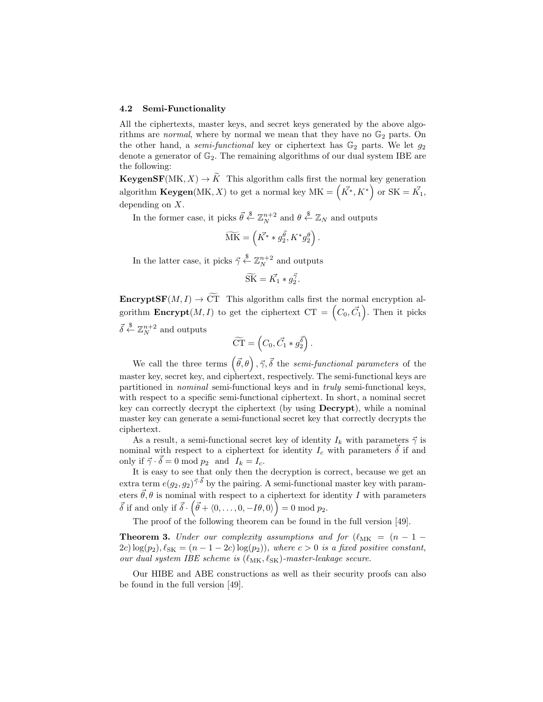#### 4.2 Semi-Functionality

All the ciphertexts, master keys, and secret keys generated by the above algorithms are *normal*, where by normal we mean that they have no  $\mathbb{G}_2$  parts. On the other hand, a semi-functional key or ciphertext has  $\mathbb{G}_2$  parts. We let  $g_2$ denote a generator of  $\mathbb{G}_2$ . The remaining algorithms of our dual system IBE are the following:

**KeygenSF**(MK, X)  $\rightarrow \widetilde{K}$  This algorithm calls first the normal key generation algorithm  $\textbf{Keygen}(MK, X)$  to get a normal key  $MK = \left(\vec{K^*}, K^*\right)$  or  $SK = \vec{K_1}$ , depending on X.

In the former case, it picks  $\vec{\theta} \stackrel{\$}{\leftarrow} \mathbb{Z}_N^{n+2}$  and  $\theta \stackrel{\$}{\leftarrow} \mathbb{Z}_N$  and outputs

$$
\widetilde{\mathrm{MK}} = \left( \vec{K^*} * g_2^{\vec{\theta}}, K^* g_2^{\theta} \right).
$$

In the latter case, it picks  $\vec{\gamma} \overset{\$}{\leftarrow} \mathbb{Z}_N^{n+2}$  and outputs

$$
\widetilde{\mathrm{SK}} = \vec{K_1} * g_2^{\vec{\gamma}}.
$$

**EncryptSF**(M, I)  $\rightarrow$   $\widetilde{CT}$  This algorithm calls first the normal encryption algorithm **Encrypt** $(M, I)$  to get the ciphertext  $CT = (C_0, \vec{C_1})$ . Then it picks  $\vec{\delta} \overset{\$}{\leftarrow} \mathbb{Z}_N^{n+2}$  and outputs

$$
\widetilde{\mathrm{CT}} = \left( C_0, \vec{C}_1 * g_2^{\vec{\delta}} \right).
$$

We call the three terms  $(\vec{\theta}, \theta), \vec{\gamma}, \vec{\delta}$  the semi-functional parameters of the master key, secret key, and ciphertext, respectively. The semi-functional keys are partitioned in nominal semi-functional keys and in truly semi-functional keys, with respect to a specific semi-functional ciphertext. In short, a nominal secret key can correctly decrypt the ciphertext (by using Decrypt), while a nominal master key can generate a semi-functional secret key that correctly decrypts the ciphertext.

As a result, a semi-functional secret key of identity  $I_k$  with parameters  $\vec{\gamma}$  is nominal with respect to a ciphertext for identity  $I_c$  with parameters  $\vec{\delta}$  if and only if  $\vec{\gamma} \cdot \vec{\delta} = 0 \text{ mod } p_2$  and  $I_k = I_c$ .

It is easy to see that only then the decryption is correct, because we get an extra term  $e(g_2, g_2)^{\vec{\gamma} \cdot \vec{\delta}}$  by the pairing. A semi-functional master key with parameters  $\vec{\theta}, \theta$  is nominal with respect to a ciphertext for identity I with parameters  $\vec{\delta}$  if and only if  $\vec{\delta} \cdot (\vec{\theta} + \langle 0, \ldots, 0, -I\theta, 0 \rangle) = 0 \text{ mod } p_2.$ 

The proof of the following theorem can be found in the full version [49].

**Theorem 3.** Under our complexity assumptions and for  $(\ell_{MK} = (n - 1 2c) \log(p_2), \ell_{SK} = (n - 1 - 2c) \log(p_2)$ , where  $c > 0$  is a fixed positive constant, our dual system IBE scheme is  $(\ell_{MK}, \ell_{SK})$ -master-leakage secure.

Our HIBE and ABE constructions as well as their security proofs can also be found in the full version [49].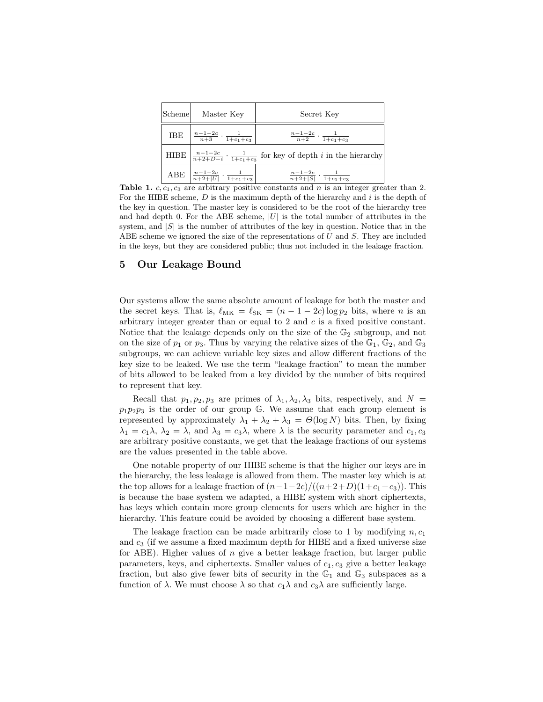| Scheme     | Master Key                                         | Secret Key                                                                                                        |
|------------|----------------------------------------------------|-------------------------------------------------------------------------------------------------------------------|
| <b>IBE</b> | $\frac{n-1-2c}{n+3} \cdot \frac{1}{1+c_1+c_3}$     | $\frac{n-1-2c}{n+2} \cdot \frac{1}{1+c_1+c_3}$                                                                    |
|            |                                                    | HIBE $\left  \frac{n-1-2c}{n+2+D-i} \cdot \frac{1}{1+c_1+c_3} \right $ for key of depth <i>i</i> in the hierarchy |
| ABE        | $\frac{n-1-2c}{n+2+ U } \cdot \frac{1}{1+c_1+c_3}$ | $\frac{n-1-2c}{n+2+ S }\cdot\frac{1}{1+c_1+c_3}$                                                                  |

Table 1.  $c, c_1, c_3$  are arbitrary positive constants and n is an integer greater than 2. For the HIBE scheme,  $D$  is the maximum depth of the hierarchy and  $i$  is the depth of the key in question. The master key is considered to be the root of the hierarchy tree and had depth 0. For the ABE scheme,  $|U|$  is the total number of attributes in the system, and  $|S|$  is the number of attributes of the key in question. Notice that in the ABE scheme we ignored the size of the representations of U and S. They are included in the keys, but they are considered public; thus not included in the leakage fraction.

#### 5 Our Leakage Bound

Our systems allow the same absolute amount of leakage for both the master and the secret keys. That is,  $\ell_{MK} = \ell_{SK} = (n - 1 - 2c) \log p_2$  bits, where n is an arbitrary integer greater than or equal to 2 and c is a fixed positive constant. Notice that the leakage depends only on the size of the  $\mathbb{G}_2$  subgroup, and not on the size of  $p_1$  or  $p_3$ . Thus by varying the relative sizes of the  $\mathbb{G}_1$ ,  $\mathbb{G}_2$ , and  $\mathbb{G}_3$ subgroups, we can achieve variable key sizes and allow different fractions of the key size to be leaked. We use the term "leakage fraction" to mean the number of bits allowed to be leaked from a key divided by the number of bits required to represent that key.

Recall that  $p_1, p_2, p_3$  are primes of  $\lambda_1, \lambda_2, \lambda_3$  bits, respectively, and  $N =$  $p_1p_2p_3$  is the order of our group  $\mathbb{G}$ . We assume that each group element is represented by approximately  $\lambda_1 + \lambda_2 + \lambda_3 = \Theta(\log N)$  bits. Then, by fixing  $\lambda_1 = c_1 \lambda$ ,  $\lambda_2 = \lambda$ , and  $\lambda_3 = c_3 \lambda$ , where  $\lambda$  is the security parameter and  $c_1, c_3$ are arbitrary positive constants, we get that the leakage fractions of our systems are the values presented in the table above.

One notable property of our HIBE scheme is that the higher our keys are in the hierarchy, the less leakage is allowed from them. The master key which is at the top allows for a leakage fraction of  $(n-1-2c)/((n+2+D)(1+c_1+c_3))$ . This is because the base system we adapted, a HIBE system with short ciphertexts, has keys which contain more group elements for users which are higher in the hierarchy. This feature could be avoided by choosing a different base system.

The leakage fraction can be made arbitrarily close to 1 by modifying  $n, c_1$ and  $c_3$  (if we assume a fixed maximum depth for HIBE and a fixed universe size for ABE). Higher values of  $n$  give a better leakage fraction, but larger public parameters, keys, and ciphertexts. Smaller values of  $c_1, c_3$  give a better leakage fraction, but also give fewer bits of security in the  $\mathbb{G}_1$  and  $\mathbb{G}_3$  subspaces as a function of  $\lambda$ . We must choose  $\lambda$  so that  $c_1\lambda$  and  $c_3\lambda$  are sufficiently large.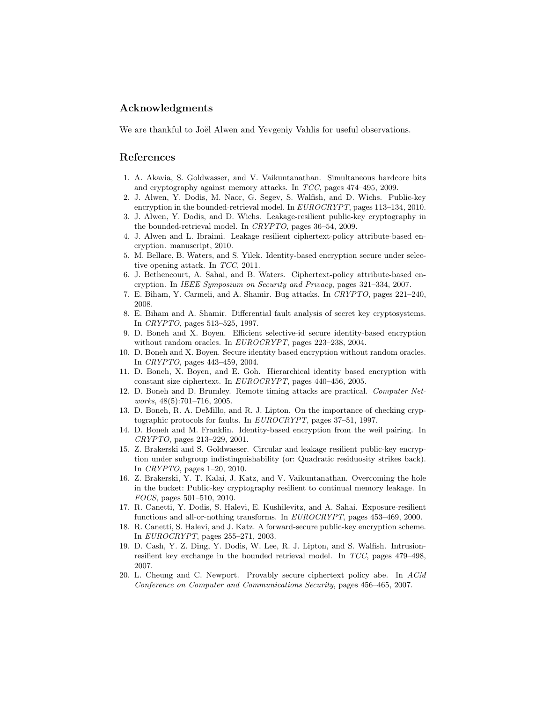# Acknowledgments

We are thankful to Joël Alwen and Yevgeniy Vahlis for useful observations.

### References

- 1. A. Akavia, S. Goldwasser, and V. Vaikuntanathan. Simultaneous hardcore bits and cryptography against memory attacks. In TCC, pages 474–495, 2009.
- 2. J. Alwen, Y. Dodis, M. Naor, G. Segev, S. Walfish, and D. Wichs. Public-key encryption in the bounded-retrieval model. In EUROCRYPT, pages 113–134, 2010.
- 3. J. Alwen, Y. Dodis, and D. Wichs. Leakage-resilient public-key cryptography in the bounded-retrieval model. In CRYPTO, pages 36–54, 2009.
- 4. J. Alwen and L. Ibraimi. Leakage resilient ciphertext-policy attribute-based encryption. manuscript, 2010.
- 5. M. Bellare, B. Waters, and S. Yilek. Identity-based encryption secure under selective opening attack. In TCC, 2011.
- 6. J. Bethencourt, A. Sahai, and B. Waters. Ciphertext-policy attribute-based encryption. In IEEE Symposium on Security and Privacy, pages 321–334, 2007.
- 7. E. Biham, Y. Carmeli, and A. Shamir. Bug attacks. In CRYPTO, pages 221–240, 2008.
- 8. E. Biham and A. Shamir. Differential fault analysis of secret key cryptosystems. In CRYPTO, pages 513–525, 1997.
- 9. D. Boneh and X. Boyen. Efficient selective-id secure identity-based encryption without random oracles. In EUROCRYPT, pages 223–238, 2004.
- 10. D. Boneh and X. Boyen. Secure identity based encryption without random oracles. In CRYPTO, pages 443–459, 2004.
- 11. D. Boneh, X. Boyen, and E. Goh. Hierarchical identity based encryption with constant size ciphertext. In EUROCRYPT, pages 440–456, 2005.
- 12. D. Boneh and D. Brumley. Remote timing attacks are practical. Computer Networks, 48(5):701–716, 2005.
- 13. D. Boneh, R. A. DeMillo, and R. J. Lipton. On the importance of checking cryptographic protocols for faults. In EUROCRYPT, pages 37–51, 1997.
- 14. D. Boneh and M. Franklin. Identity-based encryption from the weil pairing. In CRYPTO, pages 213–229, 2001.
- 15. Z. Brakerski and S. Goldwasser. Circular and leakage resilient public-key encryption under subgroup indistinguishability (or: Quadratic residuosity strikes back). In CRYPTO, pages 1–20, 2010.
- 16. Z. Brakerski, Y. T. Kalai, J. Katz, and V. Vaikuntanathan. Overcoming the hole in the bucket: Public-key cryptography resilient to continual memory leakage. In FOCS, pages 501–510, 2010.
- 17. R. Canetti, Y. Dodis, S. Halevi, E. Kushilevitz, and A. Sahai. Exposure-resilient functions and all-or-nothing transforms. In EUROCRYPT, pages 453–469, 2000.
- 18. R. Canetti, S. Halevi, and J. Katz. A forward-secure public-key encryption scheme. In EUROCRYPT, pages 255–271, 2003.
- 19. D. Cash, Y. Z. Ding, Y. Dodis, W. Lee, R. J. Lipton, and S. Walfish. Intrusionresilient key exchange in the bounded retrieval model. In TCC, pages 479–498, 2007.
- 20. L. Cheung and C. Newport. Provably secure ciphertext policy abe. In ACM Conference on Computer and Communications Security, pages 456–465, 2007.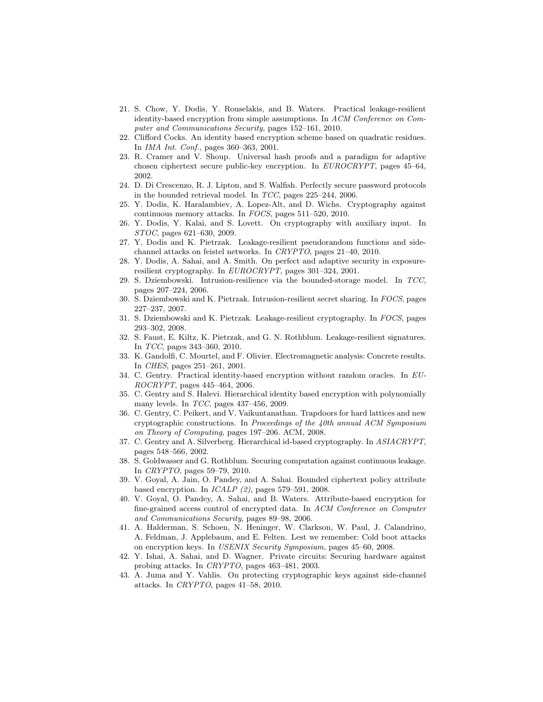- 21. S. Chow, Y. Dodis, Y. Rouselakis, and B. Waters. Practical leakage-resilient identity-based encryption from simple assumptions. In ACM Conference on Computer and Communications Security, pages 152–161, 2010.
- 22. Clifford Cocks. An identity based encryption scheme based on quadratic residues. In IMA Int. Conf., pages 360–363, 2001.
- 23. R. Cramer and V. Shoup. Universal hash proofs and a paradigm for adaptive chosen ciphertext secure public-key encryption. In EUROCRYPT, pages 45–64, 2002.
- 24. D. Di Crescenzo, R. J. Lipton, and S. Walfish. Perfectly secure password protocols in the bounded retrieval model. In TCC, pages 225–244, 2006.
- 25. Y. Dodis, K. Haralambiev, A. Lopez-Alt, and D. Wichs. Cryptography against continuous memory attacks. In FOCS, pages 511–520, 2010.
- 26. Y. Dodis, Y. Kalai, and S. Lovett. On cryptography with auxiliary input. In STOC, pages 621–630, 2009.
- 27. Y. Dodis and K. Pietrzak. Leakage-resilient pseudorandom functions and sidechannel attacks on feistel networks. In CRYPTO, pages 21–40, 2010.
- 28. Y. Dodis, A. Sahai, and A. Smith. On perfect and adaptive security in exposureresilient cryptography. In EUROCRYPT, pages 301–324, 2001.
- 29. S. Dziembowski. Intrusion-resilience via the bounded-storage model. In TCC, pages 207–224, 2006.
- 30. S. Dziembowski and K. Pietrzak. Intrusion-resilient secret sharing. In FOCS, pages 227–237, 2007.
- 31. S. Dziembowski and K. Pietrzak. Leakage-resilient cryptography. In FOCS, pages 293–302, 2008.
- 32. S. Faust, E. Kiltz, K. Pietrzak, and G. N. Rothblum. Leakage-resilient signatures. In TCC, pages 343–360, 2010.
- 33. K. Gandolfi, C. Mourtel, and F. Olivier. Electromagnetic analysis: Concrete results. In CHES, pages 251–261, 2001.
- 34. C. Gentry. Practical identity-based encryption without random oracles. In EU-ROCRYPT, pages 445–464, 2006.
- 35. C. Gentry and S. Halevi. Hierarchical identity based encryption with polynomially many levels. In TCC, pages 437–456, 2009.
- 36. C. Gentry, C. Peikert, and V. Vaikuntanathan. Trapdoors for hard lattices and new cryptographic constructions. In Proceedings of the 40th annual ACM Symposium on Theory of Computing, pages 197–206. ACM, 2008.
- 37. C. Gentry and A. Silverberg. Hierarchical id-based cryptography. In ASIACRYPT, pages 548–566, 2002.
- 38. S. Goldwasser and G. Rothblum. Securing computation against continuous leakage. In CRYPTO, pages 59–79, 2010.
- 39. V. Goyal, A. Jain, O. Pandey, and A. Sahai. Bounded ciphertext policy attribute based encryption. In  $ICALP$  (2), pages 579–591, 2008.
- 40. V. Goyal, O. Pandey, A. Sahai, and B. Waters. Attribute-based encryption for fine-grained access control of encrypted data. In ACM Conference on Computer and Communications Security, pages 89–98, 2006.
- 41. A. Halderman, S. Schoen, N. Heninger, W. Clarkson, W. Paul, J. Calandrino, A. Feldman, J. Applebaum, and E. Felten. Lest we remember: Cold boot attacks on encryption keys. In USENIX Security Symposium, pages 45–60, 2008.
- 42. Y. Ishai, A. Sahai, and D. Wagner. Private circuits: Securing hardware against probing attacks. In CRYPTO, pages 463–481, 2003.
- 43. A. Juma and Y. Vahlis. On protecting cryptographic keys against side-channel attacks. In CRYPTO, pages 41–58, 2010.